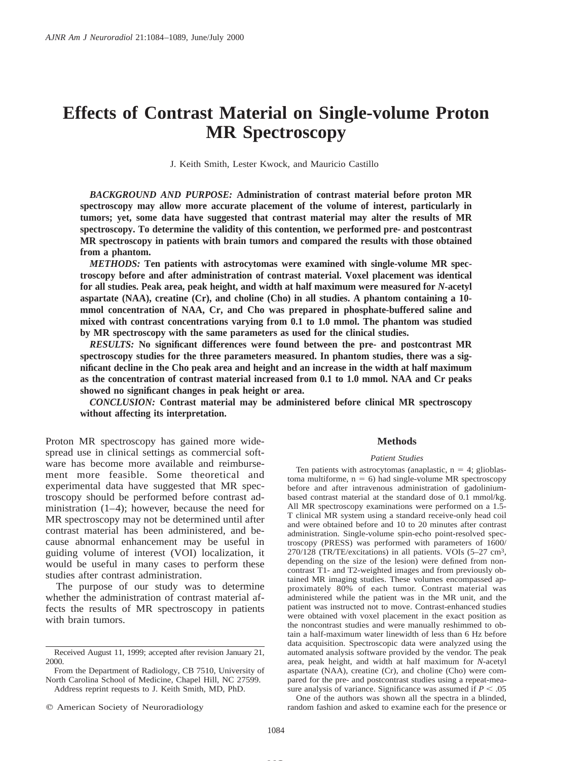# **Effects of Contrast Material on Single-volume Proton MR Spectroscopy**

J. Keith Smith, Lester Kwock, and Mauricio Castillo

*BACKGROUND AND PURPOSE:* **Administration of contrast material before proton MR spectroscopy may allow more accurate placement of the volume of interest, particularly in tumors; yet, some data have suggested that contrast material may alter the results of MR spectroscopy. To determine the validity of this contention, we performed pre- and postcontrast MR spectroscopy in patients with brain tumors and compared the results with those obtained from a phantom.**

*METHODS:* **Ten patients with astrocytomas were examined with single-volume MR spectroscopy before and after administration of contrast material. Voxel placement was identical for all studies. Peak area, peak height, and width at half maximum were measured for** *N***-acetyl aspartate (NAA), creatine (Cr), and choline (Cho) in all studies. A phantom containing a 10 mmol concentration of NAA, Cr, and Cho was prepared in phosphate-buffered saline and mixed with contrast concentrations varying from 0.1 to 1.0 mmol. The phantom was studied by MR spectroscopy with the same parameters as used for the clinical studies.**

*RESULTS:* **No significant differences were found between the pre- and postcontrast MR spectroscopy studies for the three parameters measured. In phantom studies, there was a significant decline in the Cho peak area and height and an increase in the width at half maximum as the concentration of contrast material increased from 0.1 to 1.0 mmol. NAA and Cr peaks showed no significant changes in peak height or area.**

*CONCLUSION:* **Contrast material may be administered before clinical MR spectroscopy without affecting its interpretation.**

Proton MR spectroscopy has gained more widespread use in clinical settings as commercial software has become more available and reimbursement more feasible. Some theoretical and experimental data have suggested that MR spectroscopy should be performed before contrast administration (1–4); however, because the need for MR spectroscopy may not be determined until after contrast material has been administered, and because abnormal enhancement may be useful in guiding volume of interest (VOI) localization, it would be useful in many cases to perform these studies after contrast administration.

The purpose of our study was to determine whether the administration of contrast material affects the results of MR spectroscopy in patients with brain tumors.

#### **Methods**

#### *Patient Studies*

Ten patients with astrocytomas (anaplastic,  $n = 4$ ; glioblastoma multiforme,  $n = 6$ ) had single-volume MR spectroscopy before and after intravenous administration of gadoliniumbased contrast material at the standard dose of 0.1 mmol/kg. All MR spectroscopy examinations were performed on a 1.5- T clinical MR system using a standard receive-only head coil and were obtained before and 10 to 20 minutes after contrast administration. Single-volume spin-echo point-resolved spectroscopy (PRESS) was performed with parameters of 1600/  $270/128$  (TR/TE/excitations) in all patients. VOIs  $(5-27 \text{ cm}^3,$ depending on the size of the lesion) were defined from noncontrast T1- and T2-weighted images and from previously obtained MR imaging studies. These volumes encompassed approximately 80% of each tumor. Contrast material was administered while the patient was in the MR unit, and the patient was instructed not to move. Contrast-enhanced studies were obtained with voxel placement in the exact position as the noncontrast studies and were manually reshimmed to obtain a half-maximum water linewidth of less than 6 Hz before data acquisition. Spectroscopic data were analyzed using the automated analysis software provided by the vendor. The peak area, peak height, and width at half maximum for *N*-acetyl aspartate (NAA), creatine (Cr), and choline (Cho) were compared for the pre- and postcontrast studies using a repeat-measure analysis of variance. Significance was assumed if  $P < .05$ One of the authors was shown all the spectra in a blinded, random fashion and asked to examine each for the presence or

**MS**

Received August 11, 1999; accepted after revision January 21, 2000.

From the Department of Radiology, CB 7510, University of North Carolina School of Medicine, Chapel Hill, NC 27599. Address reprint requests to J. Keith Smith, MD, PhD.

 $©$  American Society of Neuroradiology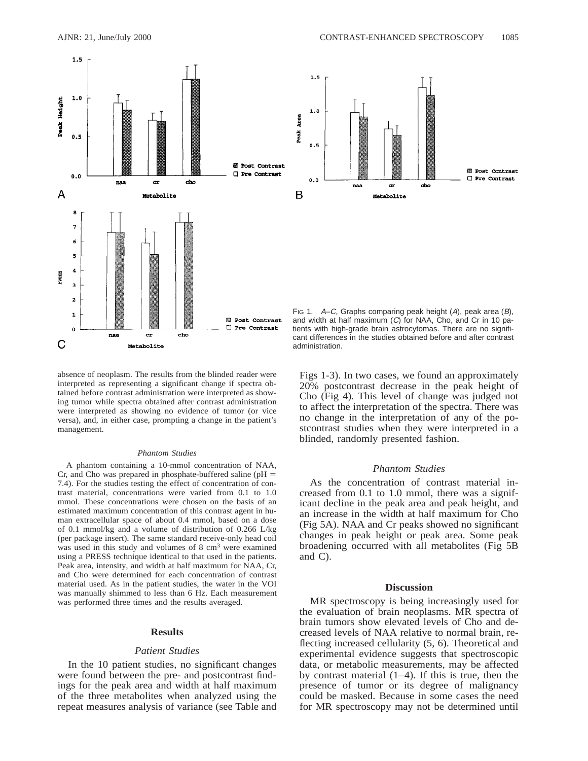



FIG 1.  $A-C$ , Graphs comparing peak height  $(A)$ , peak area  $(B)$ , and width at half maximum (C) for NAA, Cho, and Cr in 10 patients with high-grade brain astrocytomas. There are no significant differences in the studies obtained before and after contrast administration.

absence of neoplasm. The results from the blinded reader were interpreted as representing a significant change if spectra obtained before contrast administration were interpreted as showing tumor while spectra obtained after contrast administration were interpreted as showing no evidence of tumor (or vice versa), and, in either case, prompting a change in the patient's management.

#### *Phantom Studies*

A phantom containing a 10-mmol concentration of NAA, Cr, and Cho was prepared in phosphate-buffered saline ( $pH =$ 7.4). For the studies testing the effect of concentration of contrast material, concentrations were varied from 0.1 to 1.0 mmol. These concentrations were chosen on the basis of an estimated maximum concentration of this contrast agent in human extracellular space of about 0.4 mmol, based on a dose of 0.1 mmol/kg and a volume of distribution of 0.266 L/kg (per package insert). The same standard receive-only head coil was used in this study and volumes of 8 cm<sup>3</sup> were examined using a PRESS technique identical to that used in the patients. Peak area, intensity, and width at half maximum for NAA, Cr, and Cho were determined for each concentration of contrast material used. As in the patient studies, the water in the VOI was manually shimmed to less than 6 Hz. Each measurement was performed three times and the results averaged.

#### **Results**

#### *Patient Studies*

In the 10 patient studies, no significant changes were found between the pre- and postcontrast findings for the peak area and width at half maximum of the three metabolites when analyzed using the repeat measures analysis of variance (see Table and

Figs 1-3). In two cases, we found an approximately 20% postcontrast decrease in the peak height of Cho (Fig 4). This level of change was judged not to affect the interpretation of the spectra. There was no change in the interpretation of any of the postcontrast studies when they were interpreted in a blinded, randomly presented fashion.

## *Phantom Studies*

As the concentration of contrast material increased from 0.1 to 1.0 mmol, there was a significant decline in the peak area and peak height, and an increase in the width at half maximum for Cho (Fig 5A). NAA and Cr peaks showed no significant changes in peak height or peak area. Some peak broadening occurred with all metabolites (Fig 5B and C).

# **Discussion**

MR spectroscopy is being increasingly used for the evaluation of brain neoplasms. MR spectra of brain tumors show elevated levels of Cho and decreased levels of NAA relative to normal brain, reflecting increased cellularity (5, 6). Theoretical and experimental evidence suggests that spectroscopic data, or metabolic measurements, may be affected by contrast material  $(1-4)$ . If this is true, then the presence of tumor or its degree of malignancy could be masked. Because in some cases the need for MR spectroscopy may not be determined until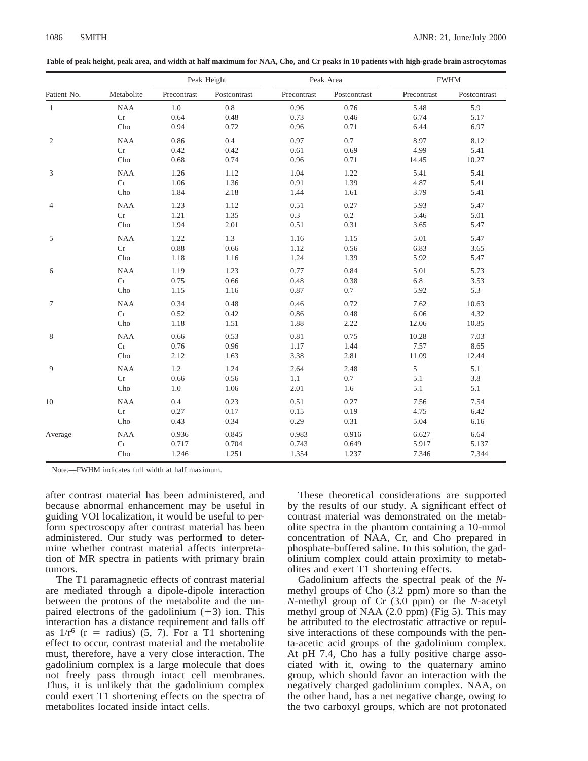| Patient No.  | Metabolite | Peak Height |              | Peak Area   |              | <b>FWHM</b> |              |
|--------------|------------|-------------|--------------|-------------|--------------|-------------|--------------|
|              |            | Precontrast | Postcontrast | Precontrast | Postcontrast | Precontrast | Postcontrast |
| $\mathbf{1}$ | <b>NAA</b> | 1.0         | 0.8          | 0.96        | 0.76         | 5.48        | 5.9          |
|              | Cr         | 0.64        | 0.48         | 0.73        | 0.46         | 6.74        | 5.17         |
|              | Cho        | 0.94        | 0.72         | 0.96        | 0.71         | 6.44        | 6.97         |
| 2            | $\rm NAA$  | 0.86        | 0.4          | 0.97        | 0.7          | 8.97        | 8.12         |
|              | $\rm Cr$   | 0.42        | 0.42         | 0.61        | 0.69         | 4.99        | 5.41         |
|              | Cho        | 0.68        | 0.74         | 0.96        | 0.71         | 14.45       | 10.27        |
| 3            | <b>NAA</b> | 1.26        | 1.12         | 1.04        | 1.22         | 5.41        | 5.41         |
|              | Cr         | 1.06        | 1.36         | 0.91        | 1.39         | 4.87        | 5.41         |
|              | Cho        | 1.84        | 2.18         | 1.44        | 1.61         | 3.79        | 5.41         |
| 4            | <b>NAA</b> | 1.23        | 1.12         | 0.51        | 0.27         | 5.93        | 5.47         |
|              | Cr         | 1.21        | 1.35         | 0.3         | $0.2\,$      | 5.46        | 5.01         |
|              | Cho        | 1.94        | 2.01         | 0.51        | 0.31         | 3.65        | 5.47         |
| 5            | <b>NAA</b> | 1.22        | 1.3          | 1.16        | 1.15         | 5.01        | 5.47         |
|              | Cr         | 0.88        | 0.66         | 1.12        | 0.56         | 6.83        | 3.65         |
|              | Cho        | 1.18        | 1.16         | 1.24        | 1.39         | 5.92        | 5.47         |
| 6            | $\rm NAA$  | 1.19        | 1.23         | 0.77        | 0.84         | 5.01        | 5.73         |
|              | Cr         | 0.75        | 0.66         | 0.48        | 0.38         | 6.8         | 3.53         |
|              | Cho        | 1.15        | 1.16         | 0.87        | 0.7          | 5.92        | 5.3          |
| 7            | <b>NAA</b> | 0.34        | 0.48         | 0.46        | 0.72         | 7.62        | 10.63        |
|              | Cr         | 0.52        | 0.42         | 0.86        | 0.48         | 6.06        | 4.32         |
|              | Cho        | 1.18        | 1.51         | 1.88        | 2.22         | 12.06       | 10.85        |
| 8            | <b>NAA</b> | 0.66        | 0.53         | 0.81        | 0.75         | 10.28       | 7.03         |
|              | Cr         | 0.76        | 0.96         | 1.17        | 1.44         | 7.57        | 8.65         |
|              | Cho        | 2.12        | 1.63         | 3.38        | 2.81         | 11.09       | 12.44        |
| 9            | $\rm NAA$  | $1.2\,$     | 1.24         | 2.64        | 2.48         | 5           | 5.1          |
|              | $\rm Cr$   | 0.66        | 0.56         | 1.1         | $0.7\,$      | 5.1         | 3.8          |
|              | Cho        | 1.0         | 1.06         | 2.01        | 1.6          | 5.1         | 5.1          |
| 10           | $\rm NAA$  | 0.4         | 0.23         | 0.51        | 0.27         | 7.56        | 7.54         |
|              | Cr         | 0.27        | 0.17         | 0.15        | 0.19         | 4.75        | 6.42         |
|              | Cho        | 0.43        | 0.34         | 0.29        | 0.31         | 5.04        | 6.16         |
| Average      | <b>NAA</b> | 0.936       | 0.845        | 0.983       | 0.916        | 6.627       | 6.64         |
|              | Cr         | 0.717       | 0.704        | 0.743       | 0.649        | 5.917       | 5.137        |
|              | Cho        | 1.246       | 1.251        | 1.354       | 1.237        | 7.346       | 7.344        |

**Table of peak height, peak area, and width at half maximum for NAA, Cho, and Cr peaks in 10 patients with high-grade brain astrocytomas**

Note.—FWHM indicates full width at half maximum.

after contrast material has been administered, and because abnormal enhancement may be useful in guiding VOI localization, it would be useful to perform spectroscopy after contrast material has been administered. Our study was performed to determine whether contrast material affects interpretation of MR spectra in patients with primary brain tumors.

The T1 paramagnetic effects of contrast material are mediated through a dipole-dipole interaction between the protons of the metabolite and the unpaired electrons of the gadolinium  $(+3)$  ion. This interaction has a distance requirement and falls off as  $1/r^6$  (r = radius) (5, 7). For a T1 shortening effect to occur, contrast material and the metabolite must, therefore, have a very close interaction. The gadolinium complex is a large molecule that does not freely pass through intact cell membranes. Thus, it is unlikely that the gadolinium complex could exert T1 shortening effects on the spectra of metabolites located inside intact cells.

These theoretical considerations are supported by the results of our study. A significant effect of contrast material was demonstrated on the metabolite spectra in the phantom containing a 10-mmol concentration of NAA, Cr, and Cho prepared in phosphate-buffered saline. In this solution, the gadolinium complex could attain proximity to metabolites and exert T1 shortening effects.

Gadolinium affects the spectral peak of the *N*methyl groups of Cho (3.2 ppm) more so than the *N*-methyl group of Cr (3.0 ppm) or the *N*-acetyl methyl group of NAA (2.0 ppm) (Fig 5). This may be attributed to the electrostatic attractive or repulsive interactions of these compounds with the penta-acetic acid groups of the gadolinium complex. At pH 7.4, Cho has a fully positive charge associated with it, owing to the quaternary amino group, which should favor an interaction with the negatively charged gadolinium complex. NAA, on the other hand, has a net negative charge, owing to the two carboxyl groups, which are not protonated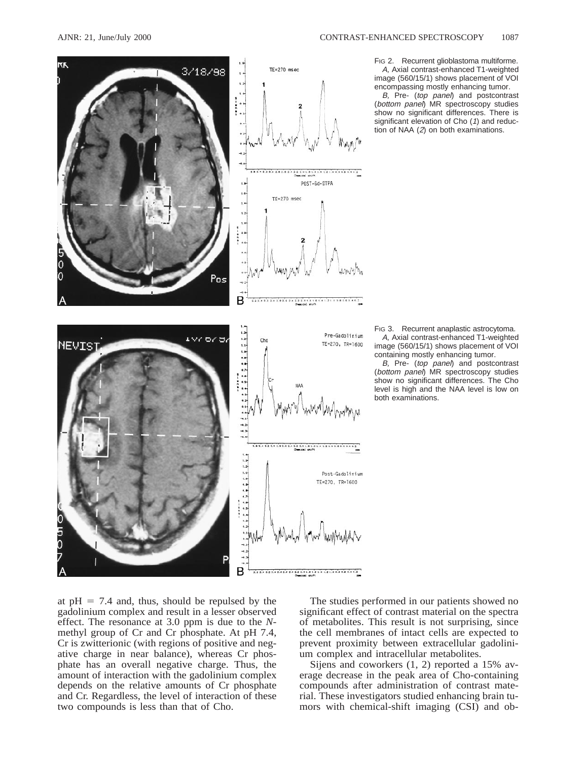

FIG 2. Recurrent glioblastoma multiforme. A, Axial contrast-enhanced T1-weighted image (560/15/1) shows placement of VOI encompassing mostly enhancing tumor.

B, Pre- (top panel) and postcontrast (bottom panel) MR spectroscopy studies show no significant differences. There is significant elevation of Cho (1) and reduction of NAA (2) on both examinations.

FIG 3. Recurrent anaplastic astrocytoma. A, Axial contrast-enhanced T1-weighted image (560/15/1) shows placement of VOI containing mostly enhancing tumor.

B, Pre- (top panel) and postcontrast (bottom panel) MR spectroscopy studies show no significant differences. The Cho level is high and the NAA level is low on both examinations.

at  $pH = 7.4$  and, thus, should be repulsed by the gadolinium complex and result in a lesser observed effect. The resonance at 3.0 ppm is due to the *N*methyl group of Cr and Cr phosphate. At pH 7.4, Cr is zwitterionic (with regions of positive and negative charge in near balance), whereas Cr phosphate has an overall negative charge. Thus, the amount of interaction with the gadolinium complex depends on the relative amounts of Cr phosphate and Cr. Regardless, the level of interaction of these two compounds is less than that of Cho.

The studies performed in our patients showed no significant effect of contrast material on the spectra of metabolites. This result is not surprising, since the cell membranes of intact cells are expected to prevent proximity between extracellular gadolinium complex and intracellular metabolites.

Sijens and coworkers (1, 2) reported a 15% average decrease in the peak area of Cho-containing compounds after administration of contrast material. These investigators studied enhancing brain tumors with chemical-shift imaging (CSI) and ob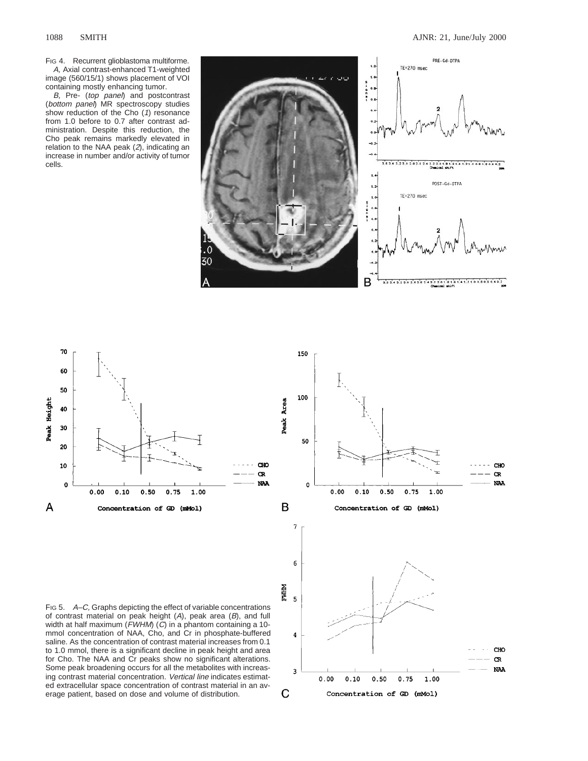FIG 4. Recurrent glioblastoma multiforme. A, Axial contrast-enhanced T1-weighted image (560/15/1) shows placement of VOI containing mostly enhancing tumor.

B, Pre- (top panel) and postcontrast (bottom panel) MR spectroscopy studies show reduction of the Cho (1) resonance from 1.0 before to 0.7 after contrast administration. Despite this reduction, the Cho peak remains markedly elevated in relation to the NAA peak (2), indicating an increase in number and/or activity of tumor cells.



150





FIG 5. A–C, Graphs depicting the effect of variable concentrations of contrast material on peak height  $(A)$ , peak area  $(B)$ , and full width at half maximum (FWHM) (C) in a phantom containing a 10mmol concentration of NAA, Cho, and Cr in phosphate-buffered saline. As the concentration of contrast material increases from 0.1 to 1.0 mmol, there is a significant decline in peak height and area for Cho. The NAA and Cr peaks show no significant alterations. Some peak broadening occurs for all the metabolites with increasing contrast material concentration. Vertical line indicates estimated extracellular space concentration of contrast material in an average patient, based on dose and volume of distribution.